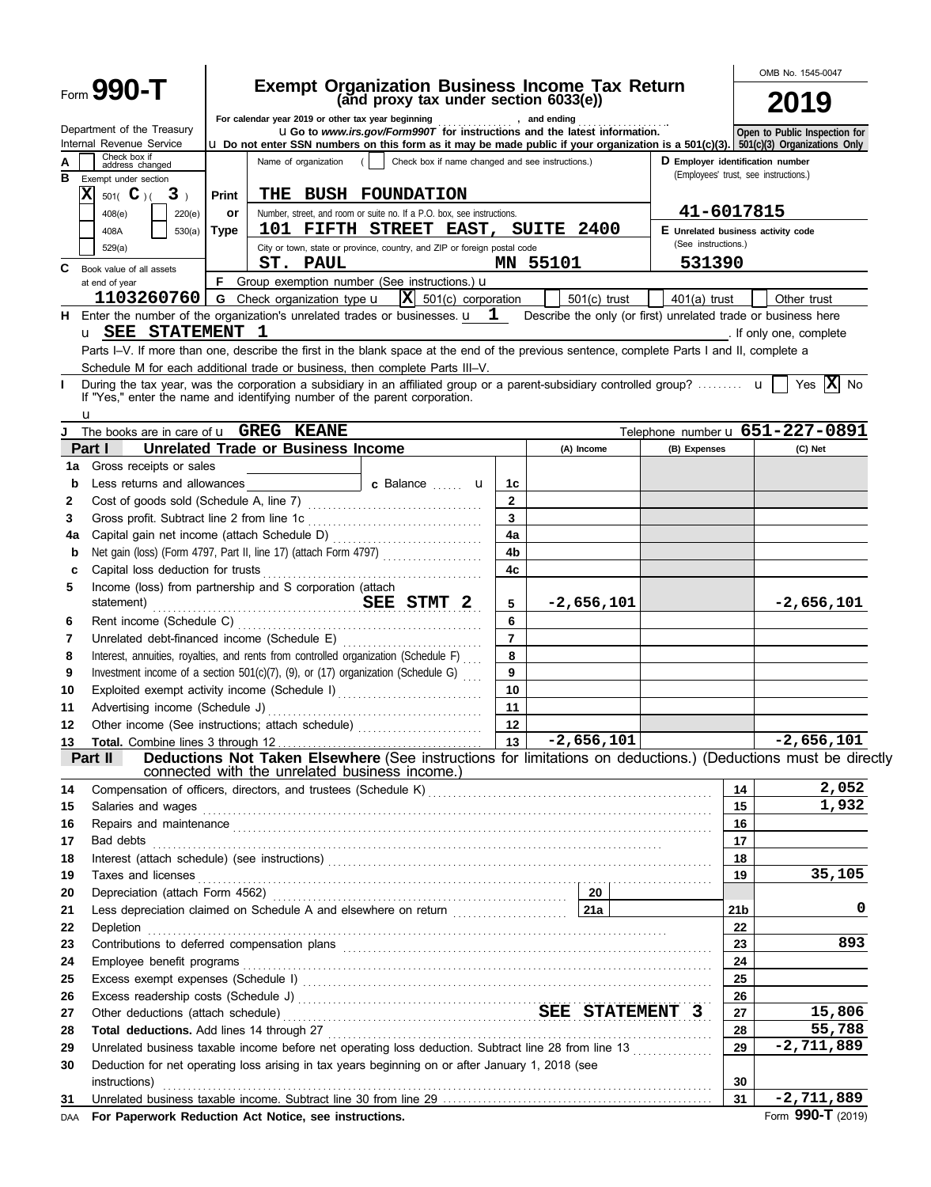|          |                                                                                                                                   |              |                                                                                                |                                   |                |                                                                                                                                                                                                                                                                                                                                                            |                                                                           |                                    | OMB No. 1545-0047                                                                                             |  |
|----------|-----------------------------------------------------------------------------------------------------------------------------------|--------------|------------------------------------------------------------------------------------------------|-----------------------------------|----------------|------------------------------------------------------------------------------------------------------------------------------------------------------------------------------------------------------------------------------------------------------------------------------------------------------------------------------------------------------------|---------------------------------------------------------------------------|------------------------------------|---------------------------------------------------------------------------------------------------------------|--|
|          | Form 990-T                                                                                                                        |              | <b>Exempt Organization Business Income Tax Return</b><br>(and proxy tax under section 6033(e)) |                                   | 2019           |                                                                                                                                                                                                                                                                                                                                                            |                                                                           |                                    |                                                                                                               |  |
|          | Department of the Treasury<br>Internal Revenue Service                                                                            |              | For calendar year 2019 or other tax year beginning                                             |                                   |                | , and ending<br><b>uGo</b> to www.irs.gov/Form990T for instructions and the latest information.<br><b>u</b> Do not enter SSN numbers on this form as it may be made public if your organization is a 501(c)(3). 501(c)(3) Organizations Only                                                                                                               |                                                                           |                                    | Open to Public Inspection for                                                                                 |  |
| в        | Check box if<br>address changed<br>Exempt under section                                                                           |              | Name of organization                                                                           |                                   |                | Check box if name changed and see instructions.)                                                                                                                                                                                                                                                                                                           | D Employer identification number<br>(Employees' trust, see instructions.) |                                    |                                                                                                               |  |
| x        | 501( $\bf{C}$ )(<br>3 <sub>1</sub>                                                                                                | <b>Print</b> | THE BUSH FOUNDATION                                                                            |                                   |                |                                                                                                                                                                                                                                                                                                                                                            |                                                                           |                                    |                                                                                                               |  |
|          | 220(e)<br>408(e)                                                                                                                  | or           | Number, street, and room or suite no. If a P.O. box, see instructions.                         |                                   |                |                                                                                                                                                                                                                                                                                                                                                            | 41-6017815                                                                |                                    |                                                                                                               |  |
|          | 530(a)<br>408A                                                                                                                    | Type         | 101 FIFTH STREET EAST, SUITE 2400                                                              |                                   |                |                                                                                                                                                                                                                                                                                                                                                            | (See instructions.)                                                       | E Unrelated business activity code |                                                                                                               |  |
|          | 529(a)                                                                                                                            |              | City or town, state or province, country, and ZIP or foreign postal code<br>ST. PAUL           |                                   |                | MN 55101                                                                                                                                                                                                                                                                                                                                                   | 531390                                                                    |                                    |                                                                                                               |  |
| C        | Book value of all assets<br>at end of year                                                                                        |              | <b>F</b> Group exemption number (See instructions.) $\mathbf{u}$                               |                                   |                |                                                                                                                                                                                                                                                                                                                                                            |                                                                           |                                    |                                                                                                               |  |
|          | 1103260760                                                                                                                        |              | <b>G</b> Check organization type <b>u</b>                                                      | $ \mathbf{X} $ 501(c) corporation |                | $501(c)$ trust                                                                                                                                                                                                                                                                                                                                             | $401(a)$ trust                                                            |                                    | Other trust                                                                                                   |  |
|          | <b>H</b> Enter the number of the organization's unrelated trades or businesses. $\mathbf{u}$ 1                                    |              |                                                                                                |                                   |                | Describe the only (or first) unrelated trade or business here                                                                                                                                                                                                                                                                                              |                                                                           |                                    |                                                                                                               |  |
|          | u SEE STATEMENT                                                                                                                   |              | - 1                                                                                            |                                   |                |                                                                                                                                                                                                                                                                                                                                                            |                                                                           |                                    | . If only one, complete                                                                                       |  |
|          |                                                                                                                                   |              |                                                                                                |                                   |                | Parts I-V. If more than one, describe the first in the blank space at the end of the previous sentence, complete Parts I and II, complete a                                                                                                                                                                                                                |                                                                           |                                    |                                                                                                               |  |
|          | Schedule M for each additional trade or business, then complete Parts III-V.                                                      |              |                                                                                                |                                   |                |                                                                                                                                                                                                                                                                                                                                                            |                                                                           |                                    |                                                                                                               |  |
|          | If "Yes," enter the name and identifying number of the parent corporation.<br>u                                                   |              |                                                                                                |                                   |                | During the tax year, was the corporation a subsidiary in an affiliated group or a parent-subsidiary controlled group? $\mathbf{u}$                                                                                                                                                                                                                         |                                                                           |                                    | Yes $\overline{\mathbf{X}}$ No                                                                                |  |
|          | The books are in care of <b>u</b> GREG KEANE                                                                                      |              |                                                                                                |                                   |                |                                                                                                                                                                                                                                                                                                                                                            |                                                                           |                                    | Telephone number u 651-227-0891                                                                               |  |
|          | Part I                                                                                                                            |              | <b>Unrelated Trade or Business Income</b>                                                      |                                   |                | (A) Income                                                                                                                                                                                                                                                                                                                                                 | (B) Expenses                                                              |                                    | (C) Net                                                                                                       |  |
| 1a       | Gross receipts or sales                                                                                                           |              |                                                                                                |                                   |                |                                                                                                                                                                                                                                                                                                                                                            |                                                                           |                                    |                                                                                                               |  |
| b        | Less returns and allowances                                                                                                       |              |                                                                                                | c Balance  u                      | 1с             |                                                                                                                                                                                                                                                                                                                                                            |                                                                           |                                    |                                                                                                               |  |
| 2        |                                                                                                                                   |              |                                                                                                |                                   | $\mathbf{2}$   |                                                                                                                                                                                                                                                                                                                                                            |                                                                           |                                    |                                                                                                               |  |
| 3        | Gross profit. Subtract line 2 from line 1c                                                                                        |              |                                                                                                |                                   | 3<br>4a        |                                                                                                                                                                                                                                                                                                                                                            |                                                                           |                                    |                                                                                                               |  |
| 4a<br>b  | Net gain (loss) (Form 4797, Part II, line 17) (attach Form 4797)                                                                  |              |                                                                                                |                                   | 4b             |                                                                                                                                                                                                                                                                                                                                                            |                                                                           |                                    |                                                                                                               |  |
| с        | Capital loss deduction for trusts                                                                                                 |              |                                                                                                |                                   | 4c             |                                                                                                                                                                                                                                                                                                                                                            |                                                                           |                                    |                                                                                                               |  |
| 5        | Income (loss) from partnership and S corporation (attach                                                                          |              |                                                                                                |                                   |                |                                                                                                                                                                                                                                                                                                                                                            |                                                                           |                                    |                                                                                                               |  |
|          | statement)                                                                                                                        |              | SEE STMT 2                                                                                     |                                   | 5              | $-2,656,101$                                                                                                                                                                                                                                                                                                                                               |                                                                           |                                    | $-2,656,101$                                                                                                  |  |
| 6        | Rent income (Schedule C)                                                                                                          |              |                                                                                                |                                   | 6              |                                                                                                                                                                                                                                                                                                                                                            |                                                                           |                                    |                                                                                                               |  |
| 7        | Unrelated debt-financed income (Schedule E)                                                                                       |              |                                                                                                |                                   | $\overline{7}$ |                                                                                                                                                                                                                                                                                                                                                            |                                                                           |                                    |                                                                                                               |  |
| 8        | Interest, annuities, royalties, and rents from controlled organization (Schedule F)                                               |              |                                                                                                |                                   | 8              |                                                                                                                                                                                                                                                                                                                                                            |                                                                           |                                    |                                                                                                               |  |
| 9        | Investment income of a section 501(c)(7), (9), or (17) organization (Schedule G)<br>Exploited exempt activity income (Schedule I) |              |                                                                                                |                                   | 9<br>10        |                                                                                                                                                                                                                                                                                                                                                            |                                                                           |                                    |                                                                                                               |  |
| 10<br>11 |                                                                                                                                   |              |                                                                                                |                                   | 11             |                                                                                                                                                                                                                                                                                                                                                            |                                                                           |                                    |                                                                                                               |  |
| 12       | Other income (See instructions; attach schedule)                                                                                  |              |                                                                                                |                                   | 12             |                                                                                                                                                                                                                                                                                                                                                            |                                                                           |                                    |                                                                                                               |  |
| 13       |                                                                                                                                   |              |                                                                                                |                                   | 13             | $-2,656,101$                                                                                                                                                                                                                                                                                                                                               |                                                                           |                                    | $-2,656,101$                                                                                                  |  |
|          | Part II                                                                                                                           |              |                                                                                                |                                   |                |                                                                                                                                                                                                                                                                                                                                                            |                                                                           |                                    | Deductions Not Taken Elsewhere (See instructions for limitations on deductions.) (Deductions must be directly |  |
|          |                                                                                                                                   |              | connected with the unrelated business income.)                                                 |                                   |                |                                                                                                                                                                                                                                                                                                                                                            |                                                                           |                                    |                                                                                                               |  |
| 14       |                                                                                                                                   |              |                                                                                                |                                   |                |                                                                                                                                                                                                                                                                                                                                                            |                                                                           | 14<br>15                           | 2,052<br>1,932                                                                                                |  |
| 15<br>16 |                                                                                                                                   |              |                                                                                                |                                   |                | Salaries and wages <b>construction and manufactures</b> and wages <b>construction</b> and wages <b>construction</b>                                                                                                                                                                                                                                        |                                                                           | 16                                 |                                                                                                               |  |
| 17       |                                                                                                                                   |              |                                                                                                |                                   |                | Repairs and maintenance <i>communical contract and maintenance</i> and maintenance and maintenance and maintenance<br>Bad debts <b>continuum contract to the contract of the contract of the contract of the contract of the contract of the contract of the contract of the contract of the contract of the contract of the contract of the contract </b> |                                                                           | 17                                 |                                                                                                               |  |
| 18       |                                                                                                                                   |              |                                                                                                |                                   |                |                                                                                                                                                                                                                                                                                                                                                            |                                                                           | 18                                 |                                                                                                               |  |
| 19       | Taxes and licenses                                                                                                                |              |                                                                                                |                                   |                |                                                                                                                                                                                                                                                                                                                                                            |                                                                           | 19                                 | 35,105                                                                                                        |  |
| 20       |                                                                                                                                   |              |                                                                                                |                                   |                |                                                                                                                                                                                                                                                                                                                                                            |                                                                           |                                    |                                                                                                               |  |
| 21       | Less depreciation claimed on Schedule A and elsewhere on return [111] [212]                                                       |              |                                                                                                |                                   |                |                                                                                                                                                                                                                                                                                                                                                            |                                                                           | 21 <sub>b</sub>                    | 0                                                                                                             |  |
| 22       |                                                                                                                                   |              |                                                                                                |                                   |                | Depletion <b>construction in the construction of the construction of the construction of the construction</b> of the construction of the construction of the construction of the construction of the construction of the constructi                                                                                                                        |                                                                           | 22                                 |                                                                                                               |  |
| 23       |                                                                                                                                   |              |                                                                                                |                                   |                |                                                                                                                                                                                                                                                                                                                                                            |                                                                           | 23                                 | 893                                                                                                           |  |
| 24<br>25 |                                                                                                                                   |              |                                                                                                |                                   |                |                                                                                                                                                                                                                                                                                                                                                            |                                                                           | 24<br>25                           |                                                                                                               |  |
| 26       |                                                                                                                                   |              |                                                                                                |                                   |                |                                                                                                                                                                                                                                                                                                                                                            |                                                                           | 26                                 |                                                                                                               |  |
| 27       |                                                                                                                                   |              |                                                                                                |                                   |                | Other deductions (attach schedule) Material According SEE STATEMENT 3                                                                                                                                                                                                                                                                                      |                                                                           | 27                                 | 15,806                                                                                                        |  |
| 28       |                                                                                                                                   |              |                                                                                                |                                   |                |                                                                                                                                                                                                                                                                                                                                                            |                                                                           | 28                                 | 55,788                                                                                                        |  |
| 29       |                                                                                                                                   |              |                                                                                                |                                   |                | Unrelated business taxable income before net operating loss deduction. Subtract line 28 from line 13                                                                                                                                                                                                                                                       |                                                                           | 29                                 | $-2,711,889$                                                                                                  |  |
| 30       | Deduction for net operating loss arising in tax years beginning on or after January 1, 2018 (see                                  |              |                                                                                                |                                   |                |                                                                                                                                                                                                                                                                                                                                                            |                                                                           |                                    |                                                                                                               |  |
|          | instructions)                                                                                                                     |              |                                                                                                |                                   |                |                                                                                                                                                                                                                                                                                                                                                            |                                                                           | 30                                 |                                                                                                               |  |
| 31       |                                                                                                                                   |              |                                                                                                |                                   |                |                                                                                                                                                                                                                                                                                                                                                            |                                                                           | 31                                 | $-2,711,889$                                                                                                  |  |
| DAA      | For Paperwork Reduction Act Notice, see instructions.                                                                             |              |                                                                                                |                                   |                |                                                                                                                                                                                                                                                                                                                                                            |                                                                           |                                    | Form 990-T (2019)                                                                                             |  |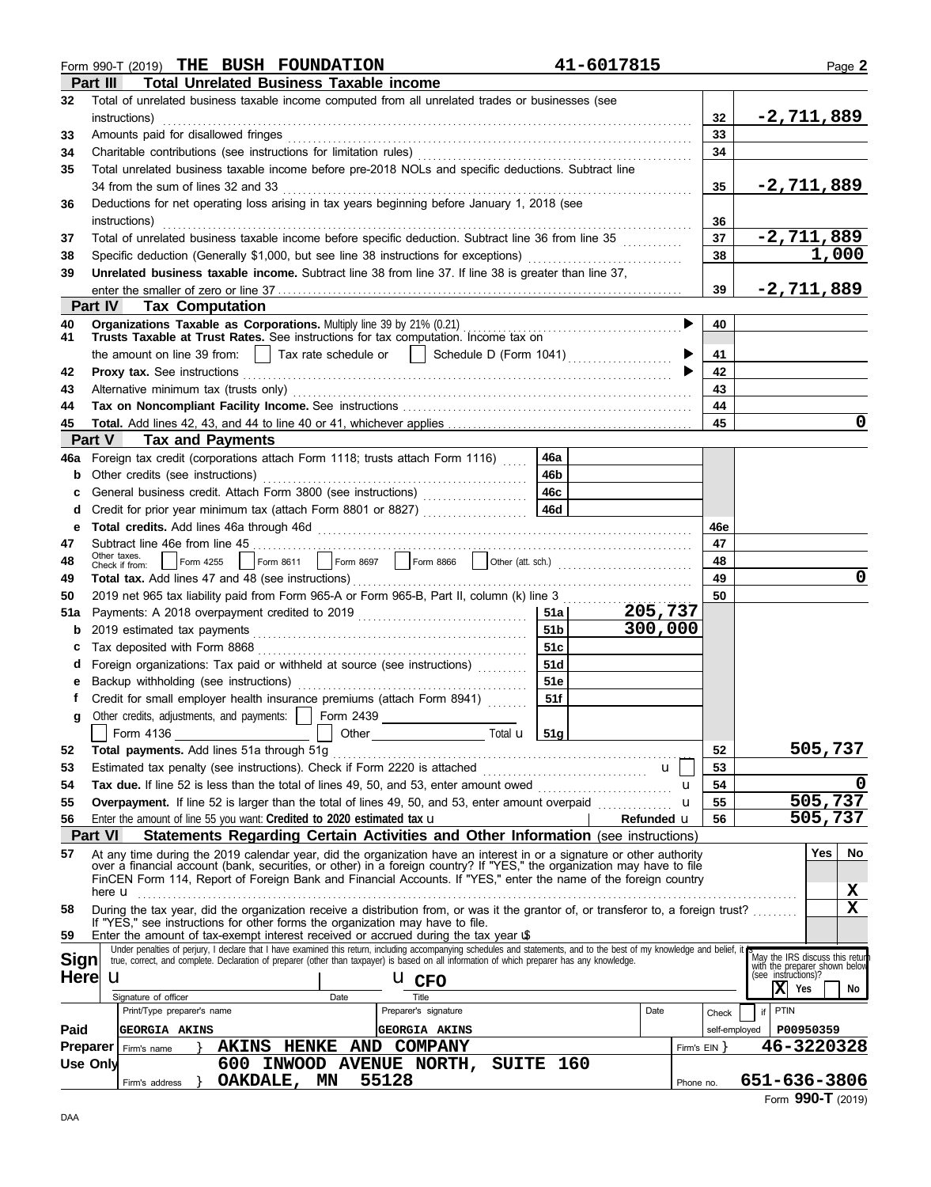|             | Form 990-T (2019) THE BUSH FOUNDATION                                                                                                                                               |                 | 41-6017815   |                |               | Page 2                                                                                  |
|-------------|-------------------------------------------------------------------------------------------------------------------------------------------------------------------------------------|-----------------|--------------|----------------|---------------|-----------------------------------------------------------------------------------------|
|             | <b>Total Unrelated Business Taxable income</b><br>Part III                                                                                                                          |                 |              |                |               |                                                                                         |
| 32          | Total of unrelated business taxable income computed from all unrelated trades or businesses (see                                                                                    |                 |              |                |               |                                                                                         |
|             | instructions)                                                                                                                                                                       |                 |              |                | 32            | <u>-2,711,889</u>                                                                       |
| 33          | Amounts paid for disallowed fringes                                                                                                                                                 |                 |              |                | 33            |                                                                                         |
| 34          |                                                                                                                                                                                     |                 |              |                | 34            |                                                                                         |
| 35          | Total unrelated business taxable income before pre-2018 NOLs and specific deductions. Subtract line                                                                                 |                 |              |                |               |                                                                                         |
|             | 34 from the sum of lines 32 and 33                                                                                                                                                  |                 |              |                | 35            | <u>-2,711,889</u>                                                                       |
|             | Deductions for net operating loss arising in tax years beginning before January 1, 2018 (see                                                                                        |                 |              |                |               |                                                                                         |
| 36          |                                                                                                                                                                                     |                 |              |                |               |                                                                                         |
|             | instructions)                                                                                                                                                                       |                 |              |                | 36            |                                                                                         |
| 37          | Total of unrelated business taxable income before specific deduction. Subtract line 36 from line 35                                                                                 |                 |              |                | 37            | $-2,711,889$                                                                            |
| 38          | Specific deduction (Generally \$1,000, but see line 38 instructions for exceptions)                                                                                                 |                 | 38           | 1,000          |               |                                                                                         |
| 39          | Unrelated business taxable income. Subtract line 38 from line 37. If line 38 is greater than line 37,                                                                               |                 |              |                |               |                                                                                         |
|             |                                                                                                                                                                                     |                 |              |                | 39            | $-2,711,889$                                                                            |
|             | <b>Part IV Tax Computation</b>                                                                                                                                                      |                 |              |                |               |                                                                                         |
| 40          | Organizations Taxable as Corporations. Multiply line 39 by 21% (0.21)                                                                                                               |                 |              | ▶              | 40            |                                                                                         |
| 41          | Trusts Taxable at Trust Rates. See instructions for tax computation. Income tax on                                                                                                  |                 |              |                |               |                                                                                         |
|             | the amount on line 39 from: $\Box$ Tax rate schedule or $\Box$ Schedule D (Form 1041)                                                                                               |                 |              |                | 41            |                                                                                         |
| 42          |                                                                                                                                                                                     |                 |              |                | 42            |                                                                                         |
| 43          |                                                                                                                                                                                     |                 |              |                | 43            |                                                                                         |
| 44          |                                                                                                                                                                                     |                 |              |                | 44            |                                                                                         |
| 45          |                                                                                                                                                                                     |                 |              |                | 45            | 0                                                                                       |
|             | Part V<br><b>Tax and Payments</b>                                                                                                                                                   |                 |              |                |               |                                                                                         |
| 46a         | Foreign tax credit (corporations attach Form 1118; trusts attach Form 1116)                                                                                                         | 46а             |              |                |               |                                                                                         |
| b           | Other credits (see instructions)                                                                                                                                                    | 46b             |              |                |               |                                                                                         |
|             | General business credit. Attach Form 3800 (see instructions) [[[[[[[[[[[[[[[[[[[[[[[[[]]]]]]]]]                                                                                     | 46c             |              |                |               |                                                                                         |
| d           | Credit for prior year minimum tax (attach Form 8801 or 8827)                                                                                                                        | 46d             |              |                |               |                                                                                         |
| е           |                                                                                                                                                                                     |                 |              |                | 46e           |                                                                                         |
| 47          | Subtract line 46e from line 45                                                                                                                                                      |                 |              |                | 47            |                                                                                         |
| 48          | Other taxes.                                                                                                                                                                        |                 |              |                | 48            |                                                                                         |
|             | Check if from:                                                                                                                                                                      |                 |              |                | 49            | 0                                                                                       |
| 49          |                                                                                                                                                                                     |                 |              |                | 50            |                                                                                         |
| 50          | 2019 net 965 tax liability paid from Form 965-A or Form 965-B, Part II, column (k) line 3                                                                                           |                 |              |                |               |                                                                                         |
| 51a         |                                                                                                                                                                                     | <b>51a</b> l    | 205,737      |                |               |                                                                                         |
| b           |                                                                                                                                                                                     | 51 <sub>b</sub> | 300,000      |                |               |                                                                                         |
|             |                                                                                                                                                                                     | 51c             |              |                |               |                                                                                         |
| d           | Foreign organizations: Tax paid or withheld at source (see instructions)                                                                                                            | 51d             |              |                |               |                                                                                         |
|             |                                                                                                                                                                                     | <b>51e</b>      |              |                |               |                                                                                         |
|             | Credit for small employer health insurance premiums (attach Form 8941)                                                                                                              | 51f             |              |                |               |                                                                                         |
| g           | Other credits, adjustments, and payments:                                                                                                                                           |                 |              |                |               |                                                                                         |
|             | Other Total <b>u</b> 51g<br>Form 4136                                                                                                                                               |                 |              |                |               |                                                                                         |
| 52          | Total payments. Add lines 51a through 51g                                                                                                                                           |                 |              |                | 52            | 505,737                                                                                 |
| 53          | Estimated tax penalty (see instructions). Check if Form 2220 is attached [                                                                                                          |                 | $\mathbf{u}$ |                | 53            |                                                                                         |
| 54          |                                                                                                                                                                                     |                 |              | u              | 54            | 0                                                                                       |
| 55          | Overpayment. If line 52 is larger than the total of lines 49, 50, and 53, enter amount overpaid                                                                                     |                 |              | u              | 55            | 505,737                                                                                 |
| 56          | Enter the amount of line 55 you want: Credited to 2020 estimated tax $\mathbf u$                                                                                                    |                 | Refunded u   |                | 56            | 505,737                                                                                 |
|             | Statements Regarding Certain Activities and Other Information (see instructions)<br><b>Part VI</b>                                                                                  |                 |              |                |               |                                                                                         |
| 57          | At any time during the 2019 calendar year, did the organization have an interest in or a signature or other authority                                                               |                 |              |                |               | Yes<br>No                                                                               |
|             | over a financial account (bank, securities, or other) in a foreign country? If "YES," the organization may have to file                                                             |                 |              |                |               |                                                                                         |
|             | FinCEN Form 114, Report of Foreign Bank and Financial Accounts. If "YES," enter the name of the foreign country                                                                     |                 |              |                |               |                                                                                         |
|             | here $\mathbf u$                                                                                                                                                                    |                 |              |                |               | X                                                                                       |
| 58          | During the tax year, did the organization receive a distribution from, or was it the grantor of, or transferor to, a foreign trust?                                                 |                 |              |                |               | $\mathbf x$                                                                             |
| 59          | If "YES," see instructions for other forms the organization may have to file.<br>Enter the amount of tax-exempt interest received or accrued during the tax year $\mathbf{\hat{u}}$ |                 |              |                |               |                                                                                         |
|             | Under penalties of perjury, I declare that I have examined this return, including accompanying schedules and statements, and to the best of my knowledge and belief, it             |                 |              |                |               |                                                                                         |
| <b>Sign</b> | true, correct, and complete. Declaration of preparer (other than taxpayer) is based on all information of which preparer has any knowledge.                                         |                 |              |                |               | May the IRS discuss this return<br>with the preparer shown below<br>(see instructions)? |
| <b>Here</b> | $\mathbf u$<br><b>U</b> CFO                                                                                                                                                         |                 |              |                |               |                                                                                         |
|             | Title<br>Signature of officer<br>Date                                                                                                                                               |                 |              |                |               | X<br>Yes<br>No                                                                          |
|             | Preparer's signature<br>Print/Type preparer's name                                                                                                                                  |                 | Date         |                | Check         | PTIN<br>if                                                                              |
| Paid        | GEORGIA AKINS<br>GEORGIA AKINS                                                                                                                                                      |                 |              |                | self-employed | P00950359                                                                               |
| Preparer    | AND COMPANY<br><b>AKINS HENKE</b><br>Firm's name                                                                                                                                    |                 |              | Firm's $EIN$ } |               | 46-3220328                                                                              |
|             | 600 INWOOD AVENUE NORTH, SUITE 160<br>Use Only                                                                                                                                      |                 |              |                |               |                                                                                         |
|             | 55128<br>OAKDALE, MN<br>Firm's address                                                                                                                                              |                 |              | Phone no.      |               | 651-636-3806                                                                            |
|             |                                                                                                                                                                                     |                 |              |                |               |                                                                                         |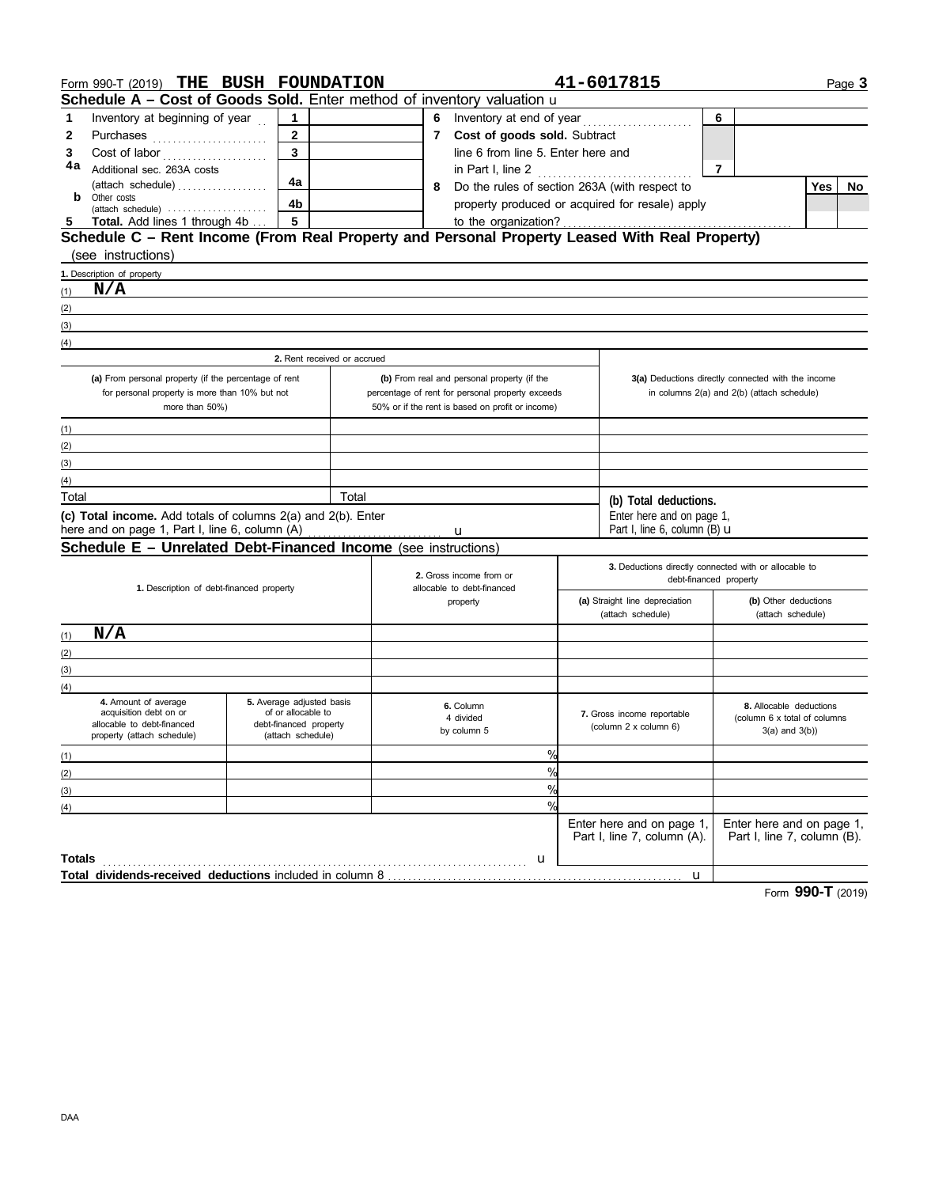|        | Form 990-T (2019) THE BUSH FOUNDATION                                                                         |                                                                                                                  |       |   |                                                       |                                                     | 41-6017815                                            |                                                    |     | Page 3 |  |
|--------|---------------------------------------------------------------------------------------------------------------|------------------------------------------------------------------------------------------------------------------|-------|---|-------------------------------------------------------|-----------------------------------------------------|-------------------------------------------------------|----------------------------------------------------|-----|--------|--|
|        | Schedule A - Cost of Goods Sold. Enter method of inventory valuation u                                        |                                                                                                                  |       |   |                                                       |                                                     |                                                       |                                                    |     |        |  |
| 1      | Inventory at beginning of year                                                                                | 1                                                                                                                |       | 6 |                                                       |                                                     |                                                       | 6                                                  |     |        |  |
| 2      |                                                                                                               | $\mathbf{2}$                                                                                                     |       |   | 7 Cost of goods sold. Subtract                        |                                                     |                                                       |                                                    |     |        |  |
| 3      | Cost of labor                                                                                                 | $\overline{3}$                                                                                                   |       |   | line 6 from line 5. Enter here and                    |                                                     |                                                       |                                                    |     |        |  |
| 4a     | Additional sec. 263A costs                                                                                    |                                                                                                                  |       |   | in Part I, line 2                                     |                                                     |                                                       | $\overline{7}$                                     |     |        |  |
|        | (attach schedule)                                                                                             | 4a                                                                                                               |       | 8 | Do the rules of section 263A (with respect to         |                                                     |                                                       |                                                    | Yes | No     |  |
| b      | Other costs<br>$(attack \ schedule) \dots \dots \dots \dots \dots \dots \dots$                                | 4 <sub>b</sub>                                                                                                   |       |   |                                                       |                                                     | property produced or acquired for resale) apply       |                                                    |     |        |  |
| 5      | <b>Total.</b> Add lines 1 through 4b                                                                          | $5\phantom{a}$                                                                                                   |       |   | to the organization?                                  |                                                     |                                                       |                                                    |     |        |  |
|        | Schedule C - Rent Income (From Real Property and Personal Property Leased With Real Property)                 |                                                                                                                  |       |   |                                                       |                                                     |                                                       |                                                    |     |        |  |
|        | (see instructions)                                                                                            | and the control of the control of the control of the control of the control of the control of the control of the |       |   |                                                       |                                                     |                                                       |                                                    |     |        |  |
|        | 1. Description of property                                                                                    |                                                                                                                  |       |   |                                                       |                                                     |                                                       |                                                    |     |        |  |
| (1)    | N/A                                                                                                           |                                                                                                                  |       |   |                                                       |                                                     |                                                       |                                                    |     |        |  |
| (2)    |                                                                                                               |                                                                                                                  |       |   |                                                       |                                                     |                                                       |                                                    |     |        |  |
| (3)    |                                                                                                               |                                                                                                                  |       |   |                                                       |                                                     |                                                       |                                                    |     |        |  |
| (4)    |                                                                                                               |                                                                                                                  |       |   |                                                       |                                                     |                                                       |                                                    |     |        |  |
|        |                                                                                                               | 2. Rent received or accrued                                                                                      |       |   |                                                       |                                                     |                                                       |                                                    |     |        |  |
|        | (a) From personal property (if the percentage of rent                                                         |                                                                                                                  |       |   | (b) From real and personal property (if the           |                                                     |                                                       | 3(a) Deductions directly connected with the income |     |        |  |
|        | for personal property is more than 10% but not                                                                |                                                                                                                  |       |   | percentage of rent for personal property exceeds      |                                                     |                                                       | in columns 2(a) and 2(b) (attach schedule)         |     |        |  |
|        | more than 50%)                                                                                                |                                                                                                                  |       |   | 50% or if the rent is based on profit or income)      |                                                     |                                                       |                                                    |     |        |  |
| (1)    |                                                                                                               |                                                                                                                  |       |   |                                                       |                                                     |                                                       |                                                    |     |        |  |
| (2)    |                                                                                                               |                                                                                                                  |       |   |                                                       |                                                     |                                                       |                                                    |     |        |  |
| (3)    |                                                                                                               |                                                                                                                  |       |   |                                                       |                                                     |                                                       |                                                    |     |        |  |
| (4)    |                                                                                                               |                                                                                                                  |       |   |                                                       |                                                     |                                                       |                                                    |     |        |  |
| Total  |                                                                                                               |                                                                                                                  | Total |   |                                                       |                                                     | (b) Total deductions.                                 |                                                    |     |        |  |
|        | (c) Total income. Add totals of columns 2(a) and 2(b). Enter                                                  |                                                                                                                  |       |   |                                                       |                                                     | Enter here and on page 1,                             |                                                    |     |        |  |
|        | here and on page 1, Part I, line 6, column (A)                                                                |                                                                                                                  |       |   | u                                                     |                                                     | Part I, line 6, column $(B)$ $U$                      |                                                    |     |        |  |
|        | Schedule E - Unrelated Debt-Financed Income (see instructions)                                                |                                                                                                                  |       |   |                                                       |                                                     |                                                       |                                                    |     |        |  |
|        |                                                                                                               |                                                                                                                  |       |   |                                                       |                                                     | 3. Deductions directly connected with or allocable to |                                                    |     |        |  |
|        | 1. Description of debt-financed property                                                                      |                                                                                                                  |       |   | 2. Gross income from or<br>allocable to debt-financed |                                                     | debt-financed property                                |                                                    |     |        |  |
|        |                                                                                                               |                                                                                                                  |       |   | property                                              | (a) Straight line depreciation<br>(attach schedule) |                                                       | (b) Other deductions                               |     |        |  |
|        |                                                                                                               |                                                                                                                  |       |   |                                                       |                                                     |                                                       | (attach schedule)                                  |     |        |  |
| (1)    | N/A                                                                                                           |                                                                                                                  |       |   |                                                       |                                                     |                                                       |                                                    |     |        |  |
| (2)    |                                                                                                               |                                                                                                                  |       |   |                                                       |                                                     |                                                       |                                                    |     |        |  |
| (3)    |                                                                                                               |                                                                                                                  |       |   |                                                       |                                                     |                                                       |                                                    |     |        |  |
| (4)    |                                                                                                               |                                                                                                                  |       |   |                                                       |                                                     |                                                       |                                                    |     |        |  |
|        | 4. Amount of average<br>acquisition debt on or                                                                | 5. Average adjusted basis<br>of or allocable to                                                                  |       |   | 6. Column                                             |                                                     |                                                       | 8. Allocable deductions                            |     |        |  |
|        | allocable to debt-financed                                                                                    | debt-financed property                                                                                           |       |   | 4 divided                                             |                                                     | 7. Gross income reportable<br>(column 2 x column 6)   | (column 6 x total of columns                       |     |        |  |
|        | property (attach schedule)                                                                                    | (attach schedule)                                                                                                |       |   | by column 5                                           |                                                     |                                                       | $3(a)$ and $3(b)$ )                                |     |        |  |
| (1)    |                                                                                                               |                                                                                                                  |       |   | %                                                     |                                                     |                                                       |                                                    |     |        |  |
| (2)    |                                                                                                               |                                                                                                                  |       |   | %                                                     |                                                     |                                                       |                                                    |     |        |  |
| (3)    |                                                                                                               |                                                                                                                  |       |   | %                                                     |                                                     |                                                       |                                                    |     |        |  |
| (4)    |                                                                                                               |                                                                                                                  |       |   | %                                                     |                                                     |                                                       |                                                    |     |        |  |
|        |                                                                                                               |                                                                                                                  |       |   |                                                       |                                                     | Enter here and on page 1,                             | Enter here and on page 1,                          |     |        |  |
|        |                                                                                                               |                                                                                                                  |       |   |                                                       |                                                     | Part I, line 7, column (A).                           | Part I, line 7, column (B).                        |     |        |  |
| Totals |                                                                                                               |                                                                                                                  |       |   | u                                                     |                                                     |                                                       |                                                    |     |        |  |
|        | Total dividends-received deductions included in column 8 [11] [2010] [2010] [2010] [2010] [2010] [2010] [2010 |                                                                                                                  |       |   |                                                       |                                                     | u                                                     |                                                    |     |        |  |

Form **990-T** (2019)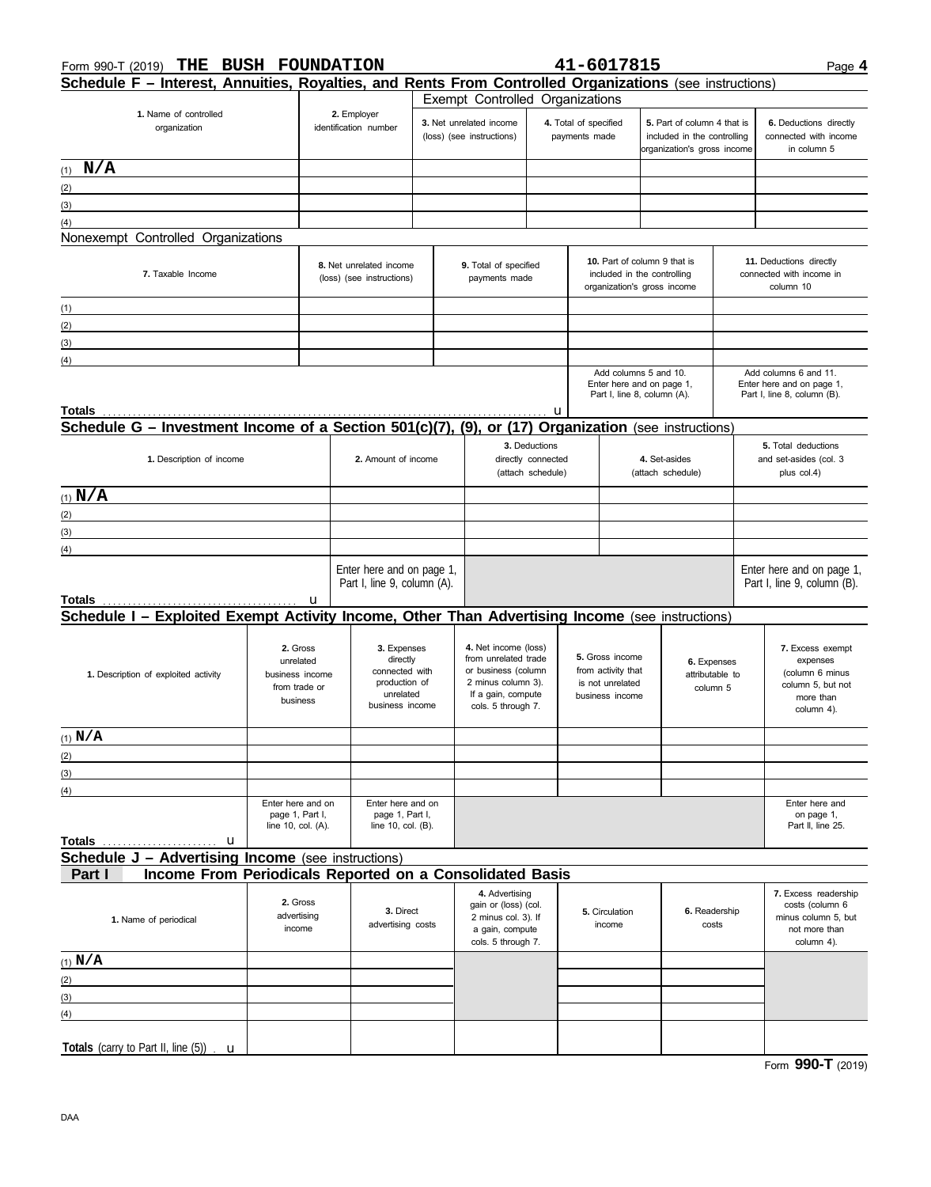| THE<br>Form 990-T (2019)                                                                                                      | <b>BUSH FOUNDATION</b>                                     |   |                                                                                            |  |                                                                                                                                       |   |                                                                                            | 41-6017815                                                                        |                                                                                           |  | Page 4                                                                                          |  |  |
|-------------------------------------------------------------------------------------------------------------------------------|------------------------------------------------------------|---|--------------------------------------------------------------------------------------------|--|---------------------------------------------------------------------------------------------------------------------------------------|---|--------------------------------------------------------------------------------------------|-----------------------------------------------------------------------------------|-------------------------------------------------------------------------------------------|--|-------------------------------------------------------------------------------------------------|--|--|
| Schedule F - Interest, Annuities, Royalties, and Rents From Controlled Organizations (see instructions)                       |                                                            |   |                                                                                            |  |                                                                                                                                       |   |                                                                                            |                                                                                   |                                                                                           |  |                                                                                                 |  |  |
| 1. Name of controlled<br>organization                                                                                         |                                                            |   | 2. Employer<br>identification number                                                       |  | 3. Net unrelated income<br>(loss) (see instructions)                                                                                  |   | Exempt Controlled Organizations<br>4. Total of specified<br>payments made                  |                                                                                   | 5. Part of column 4 that is<br>included in the controlling<br>organization's gross income |  | 6. Deductions directly<br>connected with income<br>in column 5                                  |  |  |
| $(1)$ $N/A$                                                                                                                   |                                                            |   |                                                                                            |  |                                                                                                                                       |   |                                                                                            |                                                                                   |                                                                                           |  |                                                                                                 |  |  |
| (2)                                                                                                                           |                                                            |   |                                                                                            |  |                                                                                                                                       |   |                                                                                            |                                                                                   |                                                                                           |  |                                                                                                 |  |  |
| (3)<br><u> 1989 - Johann Stoff, deutscher Stoffen und der Stoffen und der Stoffen und der Stoffen und der Stoffen und der</u> |                                                            |   |                                                                                            |  |                                                                                                                                       |   |                                                                                            |                                                                                   |                                                                                           |  |                                                                                                 |  |  |
| (4)                                                                                                                           |                                                            |   |                                                                                            |  |                                                                                                                                       |   |                                                                                            |                                                                                   |                                                                                           |  |                                                                                                 |  |  |
| Nonexempt Controlled Organizations                                                                                            |                                                            |   |                                                                                            |  |                                                                                                                                       |   |                                                                                            |                                                                                   |                                                                                           |  |                                                                                                 |  |  |
| 7. Taxable Income                                                                                                             |                                                            |   | 8. Net unrelated income<br>(loss) (see instructions)                                       |  | 9. Total of specified<br>payments made                                                                                                |   | 10. Part of column 9 that is<br>included in the controlling<br>organization's gross income |                                                                                   |                                                                                           |  | 11. Deductions directly<br>connected with income in<br>column 10                                |  |  |
| (1)<br><u> 1989 - Johann Barn, amerikansk politiker (</u>                                                                     |                                                            |   |                                                                                            |  |                                                                                                                                       |   |                                                                                            |                                                                                   |                                                                                           |  |                                                                                                 |  |  |
| (2)<br><u> 1989 - Johann Stein, mars an de Brazilia (b. 1989)</u>                                                             |                                                            |   | the control of the control of the control of                                               |  |                                                                                                                                       |   |                                                                                            |                                                                                   |                                                                                           |  |                                                                                                 |  |  |
| (3)<br><u> 1989 - Johann Stein, marwolaethau a bhann an t-Amhair an t-Amhair an t-Amhair an t-Amhair an t-Amhair an t-A</u>   |                                                            |   |                                                                                            |  |                                                                                                                                       |   |                                                                                            |                                                                                   |                                                                                           |  |                                                                                                 |  |  |
| (4)<br>the control of the control of the control of the control of the control of                                             |                                                            |   |                                                                                            |  |                                                                                                                                       |   |                                                                                            |                                                                                   |                                                                                           |  |                                                                                                 |  |  |
| Totals                                                                                                                        |                                                            |   |                                                                                            |  |                                                                                                                                       | u |                                                                                            | Add columns 5 and 10.<br>Enter here and on page 1,<br>Part I, line 8, column (A). |                                                                                           |  | Add columns 6 and 11.<br>Enter here and on page 1,<br>Part I, line 8, column (B).               |  |  |
| Schedule G - Investment Income of a Section 501(c)(7), (9), or (17) Organization (see instructions)                           |                                                            |   |                                                                                            |  |                                                                                                                                       |   |                                                                                            |                                                                                   |                                                                                           |  |                                                                                                 |  |  |
| 1. Description of income                                                                                                      |                                                            |   | 2. Amount of income                                                                        |  | 3. Deductions<br>directly connected<br>(attach schedule)                                                                              |   |                                                                                            | 4. Set-asides<br>(attach schedule)                                                |                                                                                           |  | <b>5.</b> Total deductions<br>and set-asides (col. 3<br>plus col.4)                             |  |  |
| (1) $N/A$                                                                                                                     |                                                            |   |                                                                                            |  |                                                                                                                                       |   |                                                                                            |                                                                                   |                                                                                           |  |                                                                                                 |  |  |
| (2)                                                                                                                           |                                                            |   |                                                                                            |  |                                                                                                                                       |   |                                                                                            |                                                                                   |                                                                                           |  |                                                                                                 |  |  |
| <u> 1989 - Johann Barn, amerikansk politiker (d. 1989)</u><br>(3)                                                             |                                                            |   |                                                                                            |  |                                                                                                                                       |   |                                                                                            |                                                                                   |                                                                                           |  |                                                                                                 |  |  |
| (4)                                                                                                                           |                                                            |   |                                                                                            |  |                                                                                                                                       |   |                                                                                            |                                                                                   |                                                                                           |  |                                                                                                 |  |  |
|                                                                                                                               |                                                            | u | Enter here and on page 1,<br>Part I, line 9, column (A).                                   |  |                                                                                                                                       |   |                                                                                            |                                                                                   |                                                                                           |  | Enter here and on page 1,<br>Part I, line 9, column (B).                                        |  |  |
| Schedule I - Exploited Exempt Activity Income, Other Than Advertising Income (see instructions)                               |                                                            |   |                                                                                            |  |                                                                                                                                       |   |                                                                                            |                                                                                   |                                                                                           |  |                                                                                                 |  |  |
| 2. Gross<br>unrelated<br>1. Description of exploited activity<br>business income<br>from trade or<br>business                 |                                                            |   | 3. Expenses<br>directly<br>connected with<br>production of<br>unrelated<br>business income |  | 4. Net income (loss)<br>from unrelated trade<br>or business (column<br>2 minus column 3).<br>If a gain, compute<br>cols. 5 through 7. |   | 5. Gross income<br>from activity that<br>is not unrelated<br>business income               |                                                                                   | 6. Expenses<br>attributable to<br>column 5                                                |  | 7. Excess exempt<br>expenses<br>(column 6 minus<br>column 5, but not<br>more than<br>column 4). |  |  |
| $(1)$ N/A                                                                                                                     |                                                            |   |                                                                                            |  |                                                                                                                                       |   |                                                                                            |                                                                                   |                                                                                           |  |                                                                                                 |  |  |
|                                                                                                                               |                                                            |   |                                                                                            |  |                                                                                                                                       |   |                                                                                            |                                                                                   |                                                                                           |  |                                                                                                 |  |  |
| (2)<br>(3)                                                                                                                    |                                                            |   |                                                                                            |  |                                                                                                                                       |   |                                                                                            |                                                                                   |                                                                                           |  |                                                                                                 |  |  |
| (4)                                                                                                                           |                                                            |   |                                                                                            |  |                                                                                                                                       |   |                                                                                            |                                                                                   |                                                                                           |  |                                                                                                 |  |  |
| <b>Totals</b><br>u                                                                                                            | Enter here and on<br>page 1, Part I,<br>line 10, col. (A). |   | Enter here and on<br>page 1, Part I,<br>line 10, col. (B).                                 |  |                                                                                                                                       |   |                                                                                            |                                                                                   |                                                                                           |  | Enter here and<br>on page 1,<br>Part II, line 25.                                               |  |  |
| <b>Schedule J - Advertising Income</b> (see instructions)                                                                     |                                                            |   |                                                                                            |  |                                                                                                                                       |   |                                                                                            |                                                                                   |                                                                                           |  |                                                                                                 |  |  |
| Income From Periodicals Reported on a Consolidated Basis<br>Part I                                                            |                                                            |   |                                                                                            |  |                                                                                                                                       |   |                                                                                            |                                                                                   |                                                                                           |  |                                                                                                 |  |  |
| 1. Name of periodical                                                                                                         | 2. Gross<br>advertising<br>income                          |   | 3. Direct<br>advertising costs                                                             |  | 4. Advertising<br>gain or (loss) (col.<br>2 minus col. 3). If<br>a gain, compute<br>cols. 5 through 7.                                |   | 5. Circulation<br>income                                                                   |                                                                                   | 6. Readership<br>costs                                                                    |  | 7. Excess readership<br>costs (column 6<br>minus column 5, but<br>not more than<br>column 4).   |  |  |
| $(1)$ N/A                                                                                                                     |                                                            |   |                                                                                            |  |                                                                                                                                       |   |                                                                                            |                                                                                   |                                                                                           |  |                                                                                                 |  |  |
| (2)                                                                                                                           |                                                            |   |                                                                                            |  |                                                                                                                                       |   |                                                                                            |                                                                                   |                                                                                           |  |                                                                                                 |  |  |
| (3)<br>the control of the control of the control of                                                                           |                                                            |   |                                                                                            |  |                                                                                                                                       |   |                                                                                            |                                                                                   |                                                                                           |  |                                                                                                 |  |  |
| (4)                                                                                                                           |                                                            |   |                                                                                            |  |                                                                                                                                       |   |                                                                                            |                                                                                   |                                                                                           |  |                                                                                                 |  |  |
| Totals (carry to Part II, line $(5)$ ) $\mathbf{u}$                                                                           |                                                            |   |                                                                                            |  |                                                                                                                                       |   |                                                                                            |                                                                                   |                                                                                           |  |                                                                                                 |  |  |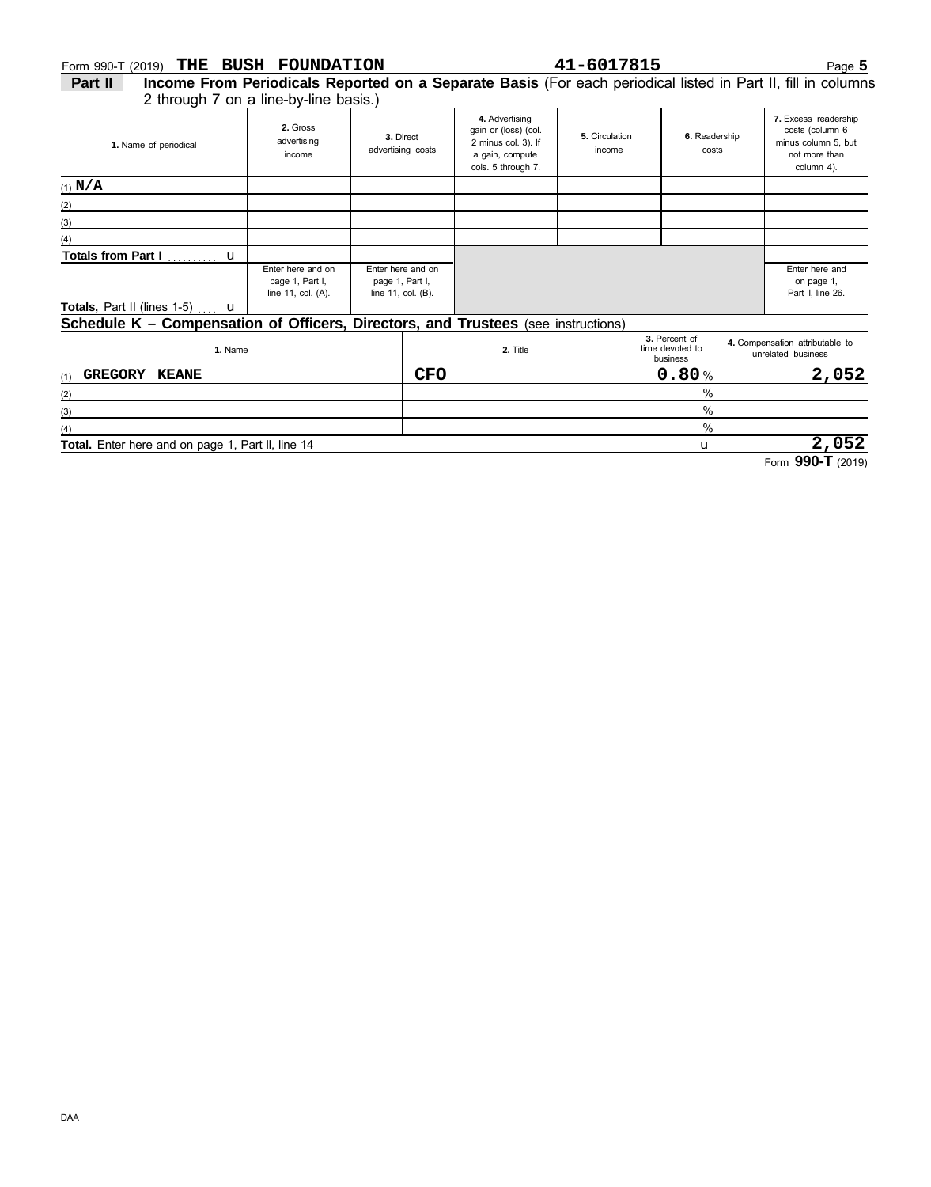# Form 990-T (2019) Page **5 THE BUSH FOUNDATION 41-6017815**

2 through 7 on a line-by-line basis.) **Part II Income From Periodicals Reported on a Separate Basis** (For each periodical listed in Part II, fill in columns

| 1. Name of periodical                                                             | 2. Gross<br>advertising<br>income                          | 3. Direct<br>advertising costs                             | 4. Advertising<br>gain or (loss) (col.<br>2 minus col. 3). If<br>a gain, compute | 5. Circulation<br>income | 6. Readership<br>costs | 7. Excess readership<br>costs (column 6<br>minus column 5, but<br>not more than |  |  |  |
|-----------------------------------------------------------------------------------|------------------------------------------------------------|------------------------------------------------------------|----------------------------------------------------------------------------------|--------------------------|------------------------|---------------------------------------------------------------------------------|--|--|--|
|                                                                                   |                                                            |                                                            | cols. 5 through 7.                                                               |                          |                        | column 4).                                                                      |  |  |  |
| $(1)$ N/A                                                                         |                                                            |                                                            |                                                                                  |                          |                        |                                                                                 |  |  |  |
| (2)                                                                               |                                                            |                                                            |                                                                                  |                          |                        |                                                                                 |  |  |  |
| (3)                                                                               |                                                            |                                                            |                                                                                  |                          |                        |                                                                                 |  |  |  |
| (4)                                                                               |                                                            |                                                            |                                                                                  |                          |                        |                                                                                 |  |  |  |
| Totals from Part I  u                                                             |                                                            |                                                            |                                                                                  |                          |                        |                                                                                 |  |  |  |
|                                                                                   | Enter here and on<br>page 1, Part I,<br>line 11, col. (A). | Enter here and on<br>page 1, Part I,<br>line 11, col. (B). |                                                                                  |                          |                        | Enter here and<br>on page 1,<br>Part II, line 26.                               |  |  |  |
| <b>Totals, Part II (lines 1-5)</b> u                                              |                                                            |                                                            |                                                                                  |                          |                        |                                                                                 |  |  |  |
| Schodulo K - Componention of Officers, Directors, and Trustees (see instructions) |                                                            |                                                            |                                                                                  |                          |                        |                                                                                 |  |  |  |

#### (1) (2) (3) (4) u business unrelated business **1.** Name **2.** Title time devoted to **4.** Compensation attributable to **3.** Percent of %  $\overline{\frac{9}{6}}$ %  $0.80%$ **Total.** Enter here and on page 1, Part ll, line 14 **Schedule K – Compensation of Officers, Directors, and Trustees** (see instructions) **GREGORY KEANE CFO 0.80 2,052 2,052**

Form **990-T** (2019)